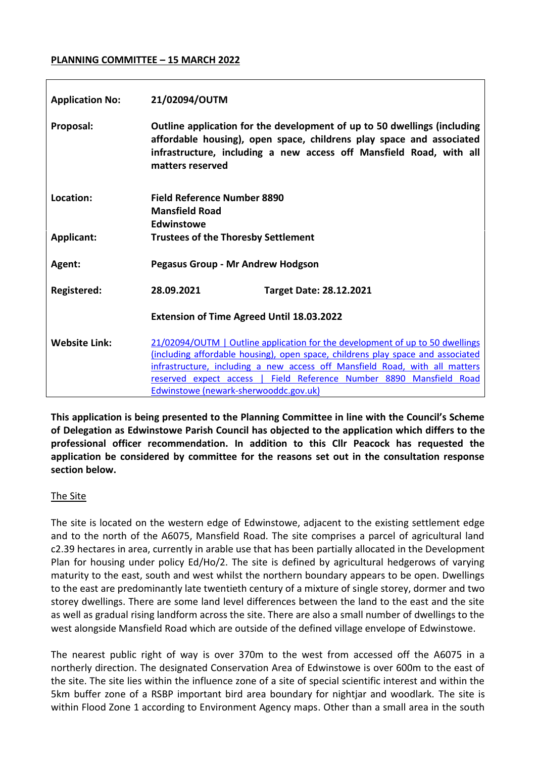#### **PLANNING COMMITTEE – 15 MARCH 2022**

| <b>Application No:</b> | 21/02094/OUTM                                                                                                                                                                                                                                                                                                                                                   |                         |
|------------------------|-----------------------------------------------------------------------------------------------------------------------------------------------------------------------------------------------------------------------------------------------------------------------------------------------------------------------------------------------------------------|-------------------------|
| Proposal:              | Outline application for the development of up to 50 dwellings (including<br>affordable housing), open space, childrens play space and associated<br>infrastructure, including a new access off Mansfield Road, with all<br>matters reserved                                                                                                                     |                         |
| Location:              | <b>Field Reference Number 8890</b><br><b>Mansfield Road</b><br><b>Edwinstowe</b>                                                                                                                                                                                                                                                                                |                         |
| <b>Applicant:</b>      | <b>Trustees of the Thoresby Settlement</b>                                                                                                                                                                                                                                                                                                                      |                         |
| Agent:                 | <b>Pegasus Group - Mr Andrew Hodgson</b>                                                                                                                                                                                                                                                                                                                        |                         |
| Registered:            | 28.09.2021                                                                                                                                                                                                                                                                                                                                                      | Target Date: 28.12.2021 |
|                        | <b>Extension of Time Agreed Until 18.03.2022</b>                                                                                                                                                                                                                                                                                                                |                         |
| <b>Website Link:</b>   | 21/02094/OUTM   Outline application for the development of up to 50 dwellings<br>(including affordable housing), open space, childrens play space and associated<br>infrastructure, including a new access off Mansfield Road, with all matters<br>reserved expect access   Field Reference Number 8890 Mansfield Road<br>Edwinstowe (newark-sherwooddc.gov.uk) |                         |

**This application is being presented to the Planning Committee in line with the Council's Scheme of Delegation as Edwinstowe Parish Council has objected to the application which differs to the professional officer recommendation. In addition to this Cllr Peacock has requested the application be considered by committee for the reasons set out in the consultation response section below.** 

## The Site

The site is located on the western edge of Edwinstowe, adjacent to the existing settlement edge and to the north of the A6075, Mansfield Road. The site comprises a parcel of agricultural land c2.39 hectares in area, currently in arable use that has been partially allocated in the Development Plan for housing under policy Ed/Ho/2. The site is defined by agricultural hedgerows of varying maturity to the east, south and west whilst the northern boundary appears to be open. Dwellings to the east are predominantly late twentieth century of a mixture of single storey, dormer and two storey dwellings. There are some land level differences between the land to the east and the site as well as gradual rising landform across the site. There are also a small number of dwellings to the west alongside Mansfield Road which are outside of the defined village envelope of Edwinstowe.

The nearest public right of way is over 370m to the west from accessed off the A6075 in a northerly direction. The designated Conservation Area of Edwinstowe is over 600m to the east of the site. The site lies within the influence zone of a site of special scientific interest and within the 5km buffer zone of a RSBP important bird area boundary for nightjar and woodlark. The site is within Flood Zone 1 according to Environment Agency maps. Other than a small area in the south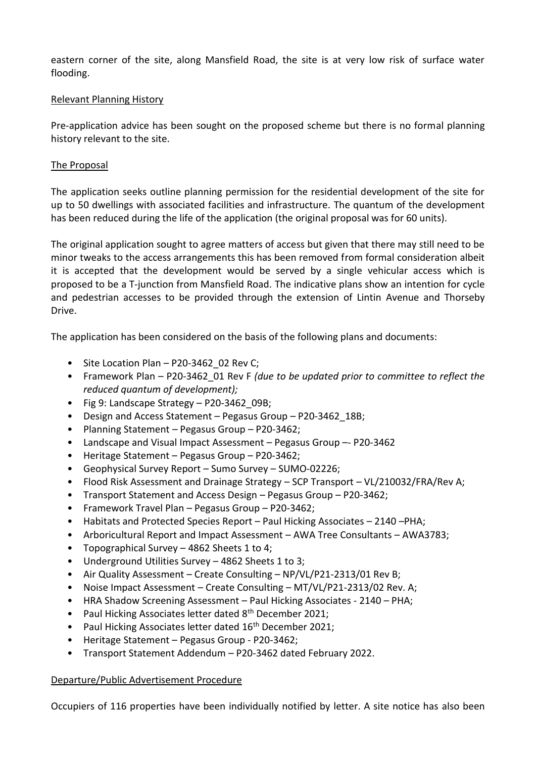eastern corner of the site, along Mansfield Road, the site is at very low risk of surface water flooding.

### Relevant Planning History

Pre-application advice has been sought on the proposed scheme but there is no formal planning history relevant to the site.

### The Proposal

The application seeks outline planning permission for the residential development of the site for up to 50 dwellings with associated facilities and infrastructure. The quantum of the development has been reduced during the life of the application (the original proposal was for 60 units).

The original application sought to agree matters of access but given that there may still need to be minor tweaks to the access arrangements this has been removed from formal consideration albeit it is accepted that the development would be served by a single vehicular access which is proposed to be a T-junction from Mansfield Road. The indicative plans show an intention for cycle and pedestrian accesses to be provided through the extension of Lintin Avenue and Thorseby Drive.

The application has been considered on the basis of the following plans and documents:

- Site Location Plan P20-3462 02 Rev C;
- Framework Plan P20-3462\_01 Rev F *(due to be updated prior to committee to reflect the reduced quantum of development);*
- Fig 9: Landscape Strategy P20-3462 09B;
- Design and Access Statement Pegasus Group P20-3462\_18B;
- Planning Statement Pegasus Group P20-3462;
- Landscape and Visual Impact Assessment Pegasus Group –- P20-3462
- Heritage Statement Pegasus Group P20-3462;
- Geophysical Survey Report Sumo Survey SUMO-02226;
- Flood Risk Assessment and Drainage Strategy SCP Transport VL/210032/FRA/Rev A;
- Transport Statement and Access Design Pegasus Group P20-3462;
- Framework Travel Plan Pegasus Group P20-3462;
- Habitats and Protected Species Report Paul Hicking Associates 2140 PHA;
- Arboricultural Report and Impact Assessment AWA Tree Consultants AWA3783;
- Topographical Survey 4862 Sheets 1 to 4;
- Underground Utilities Survey 4862 Sheets 1 to 3;
- Air Quality Assessment Create Consulting NP/VL/P21-2313/01 Rev B;
- Noise Impact Assessment Create Consulting MT/VL/P21-2313/02 Rev. A;
- HRA Shadow Screening Assessment Paul Hicking Associates 2140 PHA;
- Paul Hicking Associates letter dated 8<sup>th</sup> December 2021;
- Paul Hicking Associates letter dated 16<sup>th</sup> December 2021;
- Heritage Statement Pegasus Group P20-3462;
- Transport Statement Addendum P20-3462 dated February 2022.

#### Departure/Public Advertisement Procedure

Occupiers of 116 properties have been individually notified by letter. A site notice has also been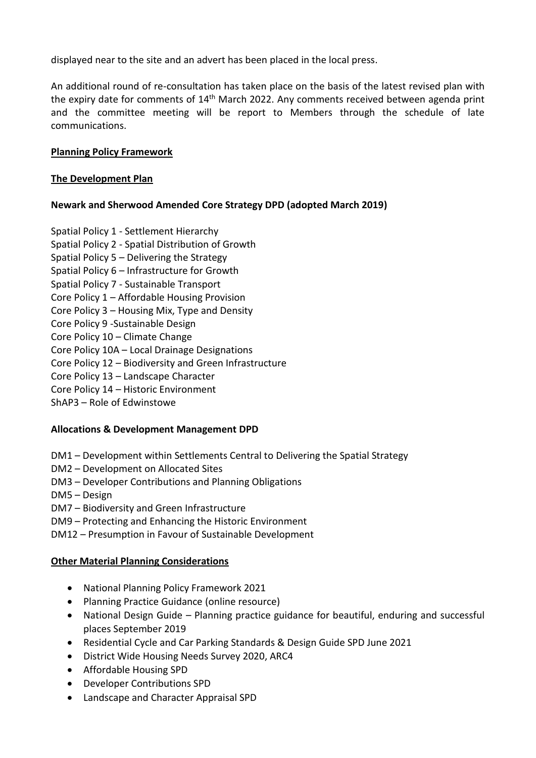displayed near to the site and an advert has been placed in the local press.

An additional round of re-consultation has taken place on the basis of the latest revised plan with the expiry date for comments of 14<sup>th</sup> March 2022. Any comments received between agenda print and the committee meeting will be report to Members through the schedule of late communications.

## **Planning Policy Framework**

## **The Development Plan**

# **Newark and Sherwood Amended Core Strategy DPD (adopted March 2019)**

Spatial Policy 1 - Settlement Hierarchy Spatial Policy 2 - Spatial Distribution of Growth Spatial Policy 5 – Delivering the Strategy Spatial Policy 6 – Infrastructure for Growth Spatial Policy 7 - Sustainable Transport Core Policy 1 – Affordable Housing Provision Core Policy 3 – Housing Mix, Type and Density Core Policy 9 -Sustainable Design Core Policy 10 – Climate Change Core Policy 10A – Local Drainage Designations Core Policy 12 – Biodiversity and Green Infrastructure Core Policy 13 – Landscape Character Core Policy 14 – Historic Environment ShAP3 – Role of Edwinstowe

## **Allocations & Development Management DPD**

- DM1 Development within Settlements Central to Delivering the Spatial Strategy
- DM2 Development on Allocated Sites
- DM3 Developer Contributions and Planning Obligations
- DM5 Design
- DM7 Biodiversity and Green Infrastructure
- DM9 Protecting and Enhancing the Historic Environment
- DM12 Presumption in Favour of Sustainable Development

## **Other Material Planning Considerations**

- National Planning Policy Framework 2021
- Planning Practice Guidance (online resource)
- National Design Guide Planning practice guidance for beautiful, enduring and successful places September 2019
- Residential Cycle and Car Parking Standards & Design Guide SPD June 2021
- District Wide Housing Needs Survey 2020, ARC4
- Affordable Housing SPD
- Developer Contributions SPD
- Landscape and Character Appraisal SPD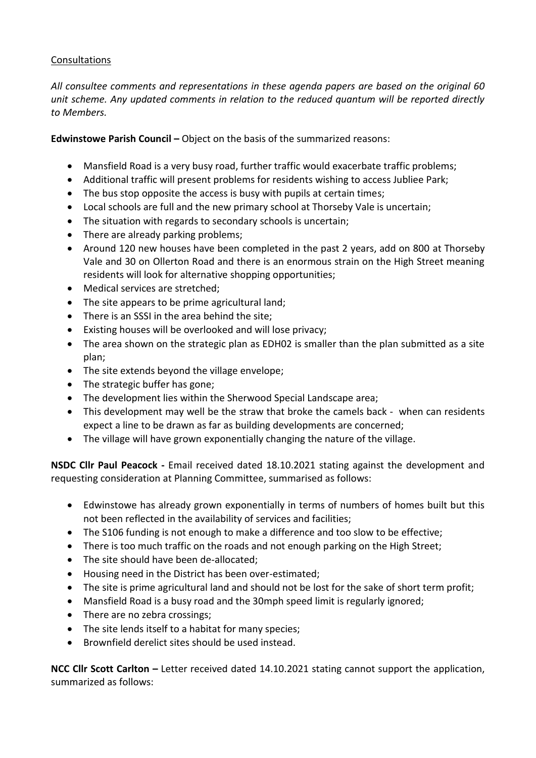## Consultations

*All consultee comments and representations in these agenda papers are based on the original 60 unit scheme. Any updated comments in relation to the reduced quantum will be reported directly to Members.*

**Edwinstowe Parish Council –** Object on the basis of the summarized reasons:

- Mansfield Road is a very busy road, further traffic would exacerbate traffic problems;
- Additional traffic will present problems for residents wishing to access Jubliee Park;
- The bus stop opposite the access is busy with pupils at certain times;
- Local schools are full and the new primary school at Thorseby Vale is uncertain;
- The situation with regards to secondary schools is uncertain;
- There are already parking problems;
- Around 120 new houses have been completed in the past 2 years, add on 800 at Thorseby Vale and 30 on Ollerton Road and there is an enormous strain on the High Street meaning residents will look for alternative shopping opportunities;
- Medical services are stretched;
- The site appears to be prime agricultural land;
- There is an SSSI in the area behind the site;
- Existing houses will be overlooked and will lose privacy;
- The area shown on the strategic plan as EDH02 is smaller than the plan submitted as a site plan;
- The site extends beyond the village envelope;
- The strategic buffer has gone;
- The development lies within the Sherwood Special Landscape area;
- This development may well be the straw that broke the camels back when can residents expect a line to be drawn as far as building developments are concerned;
- The village will have grown exponentially changing the nature of the village.

**NSDC Cllr Paul Peacock -** Email received dated 18.10.2021 stating against the development and requesting consideration at Planning Committee, summarised as follows:

- Edwinstowe has already grown exponentially in terms of numbers of homes built but this not been reflected in the availability of services and facilities;
- The S106 funding is not enough to make a difference and too slow to be effective;
- There is too much traffic on the roads and not enough parking on the High Street;
- The site should have been de-allocated;
- Housing need in the District has been over-estimated;
- The site is prime agricultural land and should not be lost for the sake of short term profit;
- Mansfield Road is a busy road and the 30mph speed limit is regularly ignored;
- There are no zebra crossings;
- The site lends itself to a habitat for many species;
- Brownfield derelict sites should be used instead.

**NCC Cllr Scott Carlton –** Letter received dated 14.10.2021 stating cannot support the application, summarized as follows: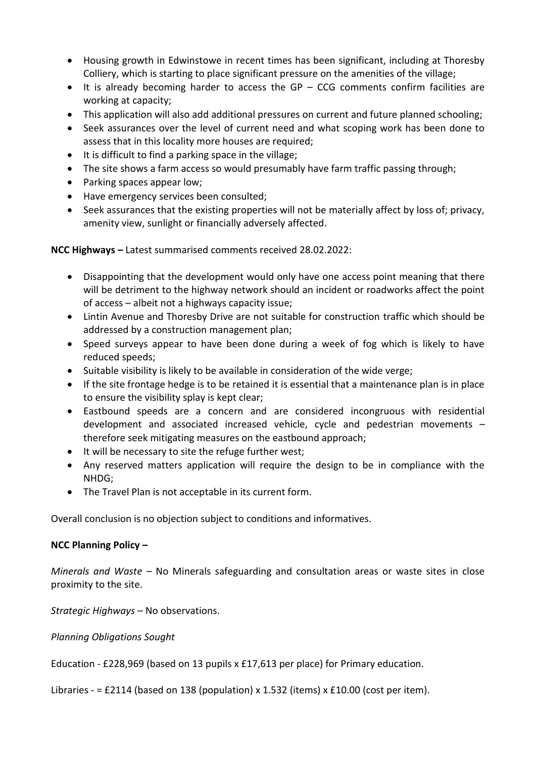- Housing growth in Edwinstowe in recent times has been significant, including at Thoresby Colliery, which is starting to place significant pressure on the amenities of the village;
- $\bullet$  It is already becoming harder to access the GP CCG comments confirm facilities are working at capacity;
- This application will also add additional pressures on current and future planned schooling;
- Seek assurances over the level of current need and what scoping work has been done to assess that in this locality more houses are required;
- It is difficult to find a parking space in the village;
- The site shows a farm access so would presumably have farm traffic passing through;
- Parking spaces appear low;
- Have emergency services been consulted;
- Seek assurances that the existing properties will not be materially affect by loss of; privacy, amenity view, sunlight or financially adversely affected.

**NCC Highways –** Latest summarised comments received 28.02.2022:

- Disappointing that the development would only have one access point meaning that there will be detriment to the highway network should an incident or roadworks affect the point of access – albeit not a highways capacity issue;
- Lintin Avenue and Thoresby Drive are not suitable for construction traffic which should be addressed by a construction management plan;
- Speed surveys appear to have been done during a week of fog which is likely to have reduced speeds;
- Suitable visibility is likely to be available in consideration of the wide verge;
- If the site frontage hedge is to be retained it is essential that a maintenance plan is in place to ensure the visibility splay is kept clear;
- Eastbound speeds are a concern and are considered incongruous with residential development and associated increased vehicle, cycle and pedestrian movements – therefore seek mitigating measures on the eastbound approach;
- It will be necessary to site the refuge further west;
- Any reserved matters application will require the design to be in compliance with the NHDG;
- The Travel Plan is not acceptable in its current form.

Overall conclusion is no objection subject to conditions and informatives.

## **NCC Planning Policy –**

*Minerals and Waste –* No Minerals safeguarding and consultation areas or waste sites in close proximity to the site.

*Strategic Highways –* No observations.

*Planning Obligations Sought*

Education - £228,969 (based on 13 pupils x £17,613 per place) for Primary education.

Libraries - = £2114 (based on 138 (population) x 1.532 (items) x £10.00 (cost per item).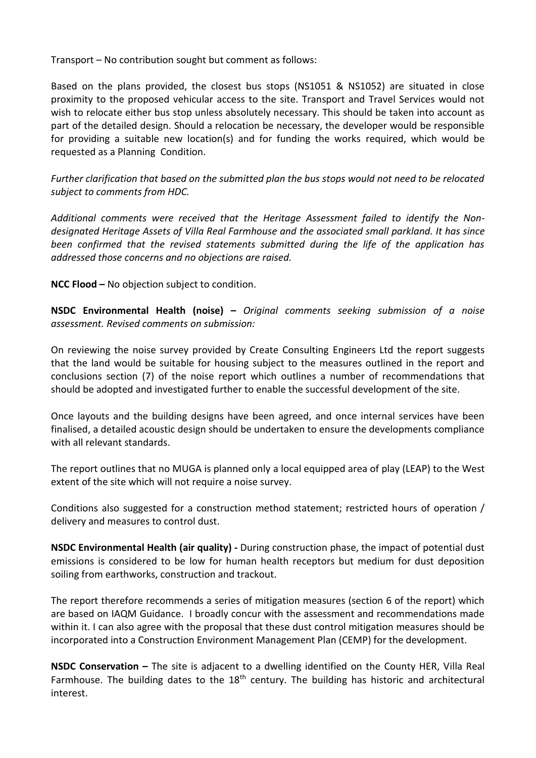Transport – No contribution sought but comment as follows:

Based on the plans provided, the closest bus stops (NS1051 & NS1052) are situated in close proximity to the proposed vehicular access to the site. Transport and Travel Services would not wish to relocate either bus stop unless absolutely necessary. This should be taken into account as part of the detailed design. Should a relocation be necessary, the developer would be responsible for providing a suitable new location(s) and for funding the works required, which would be requested as a Planning Condition.

*Further clarification that based on the submitted plan the bus stops would not need to be relocated subject to comments from HDC.*

*Additional comments were received that the Heritage Assessment failed to identify the Nondesignated Heritage Assets of Villa Real Farmhouse and the associated small parkland. It has since been confirmed that the revised statements submitted during the life of the application has addressed those concerns and no objections are raised.* 

**NCC Flood –** No objection subject to condition.

**NSDC Environmental Health (noise) –** *Original comments seeking submission of a noise assessment. Revised comments on submission:*

On reviewing the noise survey provided by Create Consulting Engineers Ltd the report suggests that the land would be suitable for housing subject to the measures outlined in the report and conclusions section (7) of the noise report which outlines a number of recommendations that should be adopted and investigated further to enable the successful development of the site.

Once layouts and the building designs have been agreed, and once internal services have been finalised, a detailed acoustic design should be undertaken to ensure the developments compliance with all relevant standards.

The report outlines that no MUGA is planned only a local equipped area of play (LEAP) to the West extent of the site which will not require a noise survey.

Conditions also suggested for a construction method statement; restricted hours of operation / delivery and measures to control dust.

**NSDC Environmental Health (air quality) -** During construction phase, the impact of potential dust emissions is considered to be low for human health receptors but medium for dust deposition soiling from earthworks, construction and trackout.

The report therefore recommends a series of mitigation measures (section 6 of the report) which are based on IAQM Guidance. I broadly concur with the assessment and recommendations made within it. I can also agree with the proposal that these dust control mitigation measures should be incorporated into a Construction Environment Management Plan (CEMP) for the development.

**NSDC Conservation –** The site is adjacent to a dwelling identified on the County HER, Villa Real Farmhouse. The building dates to the  $18<sup>th</sup>$  century. The building has historic and architectural interest.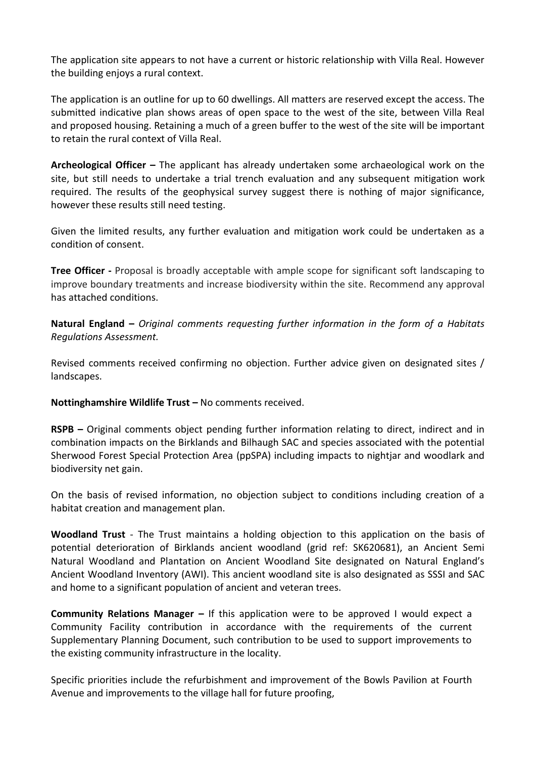The application site appears to not have a current or historic relationship with Villa Real. However the building enjoys a rural context.

The application is an outline for up to 60 dwellings. All matters are reserved except the access. The submitted indicative plan shows areas of open space to the west of the site, between Villa Real and proposed housing. Retaining a much of a green buffer to the west of the site will be important to retain the rural context of Villa Real.

**Archeological Officer –** The applicant has already undertaken some archaeological work on the site, but still needs to undertake a trial trench evaluation and any subsequent mitigation work required. The results of the geophysical survey suggest there is nothing of major significance, however these results still need testing.

Given the limited results, any further evaluation and mitigation work could be undertaken as a condition of consent.

**Tree Officer -** Proposal is broadly acceptable with ample scope for significant soft landscaping to improve boundary treatments and increase biodiversity within the site. Recommend any approval has attached conditions.

**Natural England –** *Original comments requesting further information in the form of a Habitats Regulations Assessment.* 

Revised comments received confirming no objection. Further advice given on designated sites / landscapes.

**Nottinghamshire Wildlife Trust –** No comments received.

**RSPB –** Original comments object pending further information relating to direct, indirect and in combination impacts on the Birklands and Bilhaugh SAC and species associated with the potential Sherwood Forest Special Protection Area (ppSPA) including impacts to nightjar and woodlark and biodiversity net gain.

On the basis of revised information, no objection subject to conditions including creation of a habitat creation and management plan.

**Woodland Trust** - The Trust maintains a holding objection to this application on the basis of potential deterioration of Birklands ancient woodland (grid ref: SK620681), an Ancient Semi Natural Woodland and Plantation on Ancient Woodland Site designated on Natural England's Ancient Woodland Inventory (AWI). This ancient woodland site is also designated as SSSI and SAC and home to a significant population of ancient and veteran trees.

**Community Relations Manager –** If this application were to be approved I would expect a Community Facility contribution in accordance with the requirements of the current Supplementary Planning Document, such contribution to be used to support improvements to the existing community infrastructure in the locality.

Specific priorities include the refurbishment and improvement of the Bowls Pavilion at Fourth Avenue and improvements to the village hall for future proofing,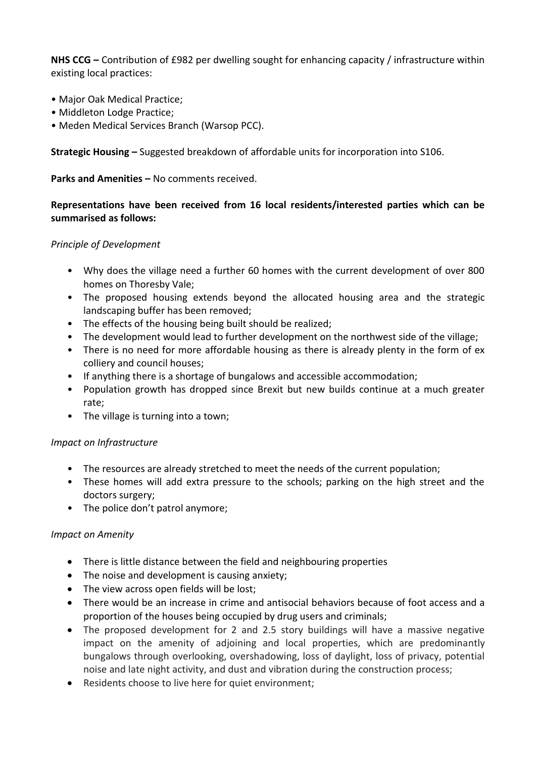**NHS CCG –** Contribution of £982 per dwelling sought for enhancing capacity / infrastructure within existing local practices:

- Major Oak Medical Practice;
- Middleton Lodge Practice;
- Meden Medical Services Branch (Warsop PCC).

**Strategic Housing –** Suggested breakdown of affordable units for incorporation into S106.

**Parks and Amenities –** No comments received.

### **Representations have been received from 16 local residents/interested parties which can be summarised as follows:**

#### *Principle of Development*

- Why does the village need a further 60 homes with the current development of over 800 homes on Thoresby Vale;
- The proposed housing extends beyond the allocated housing area and the strategic landscaping buffer has been removed;
- The effects of the housing being built should be realized;
- The development would lead to further development on the northwest side of the village;
- There is no need for more affordable housing as there is already plenty in the form of ex colliery and council houses;
- If anything there is a shortage of bungalows and accessible accommodation;
- Population growth has dropped since Brexit but new builds continue at a much greater rate;
- The village is turning into a town;

#### *Impact on Infrastructure*

- The resources are already stretched to meet the needs of the current population;
- These homes will add extra pressure to the schools; parking on the high street and the doctors surgery;
- The police don't patrol anymore;

#### *Impact on Amenity*

- There is little distance between the field and neighbouring properties
- The noise and development is causing anxiety;
- The view across open fields will be lost;
- There would be an increase in crime and antisocial behaviors because of foot access and a proportion of the houses being occupied by drug users and criminals;
- The proposed development for 2 and 2.5 story buildings will have a massive negative impact on the amenity of adjoining and local properties, which are predominantly bungalows through overlooking, overshadowing, loss of daylight, loss of privacy, potential noise and late night activity, and dust and vibration during the construction process;
- Residents choose to live here for quiet environment;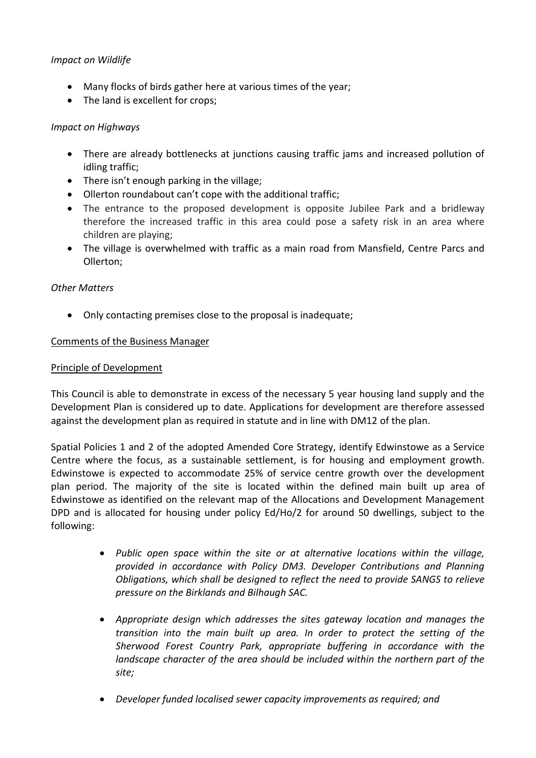## *Impact on Wildlife*

- Many flocks of birds gather here at various times of the year;
- The land is excellent for crops;

### *Impact on Highways*

- There are already bottlenecks at junctions causing traffic jams and increased pollution of idling traffic;
- There isn't enough parking in the village;
- Ollerton roundabout can't cope with the additional traffic;
- The entrance to the proposed development is opposite Jubilee Park and a bridleway therefore the increased traffic in this area could pose a safety risk in an area where children are playing;
- The village is overwhelmed with traffic as a main road from Mansfield, Centre Parcs and Ollerton;

#### *Other Matters*

Only contacting premises close to the proposal is inadequate;

#### Comments of the Business Manager

#### Principle of Development

This Council is able to demonstrate in excess of the necessary 5 year housing land supply and the Development Plan is considered up to date. Applications for development are therefore assessed against the development plan as required in statute and in line with DM12 of the plan.

Spatial Policies 1 and 2 of the adopted Amended Core Strategy, identify Edwinstowe as a Service Centre where the focus, as a sustainable settlement, is for housing and employment growth. Edwinstowe is expected to accommodate 25% of service centre growth over the development plan period. The majority of the site is located within the defined main built up area of Edwinstowe as identified on the relevant map of the Allocations and Development Management DPD and is allocated for housing under policy Ed/Ho/2 for around 50 dwellings, subject to the following:

- *Public open space within the site or at alternative locations within the village, provided in accordance with Policy DM3. Developer Contributions and Planning Obligations, which shall be designed to reflect the need to provide SANGS to relieve pressure on the Birklands and Bilhaugh SAC.*
- *Appropriate design which addresses the sites gateway location and manages the transition into the main built up area. In order to protect the setting of the Sherwood Forest Country Park, appropriate buffering in accordance with the landscape character of the area should be included within the northern part of the site;*
- *Developer funded localised sewer capacity improvements as required; and*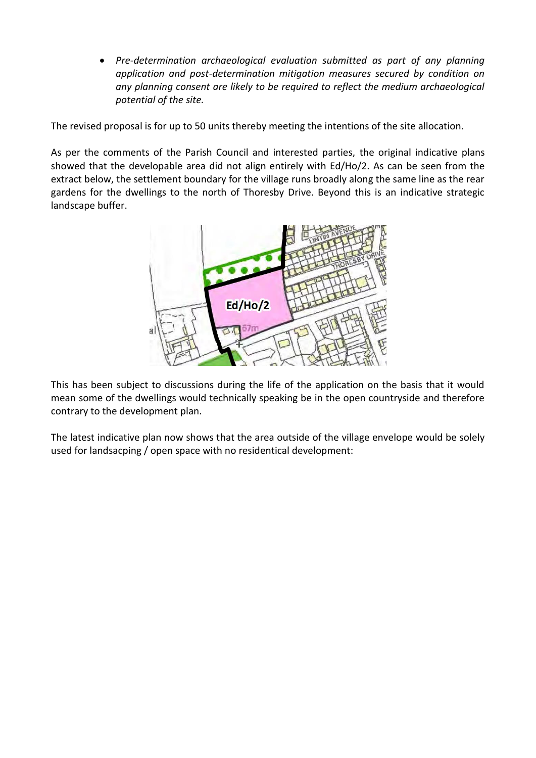*Pre-determination archaeological evaluation submitted as part of any planning application and post-determination mitigation measures secured by condition on any planning consent are likely to be required to reflect the medium archaeological potential of the site.*

The revised proposal is for up to 50 units thereby meeting the intentions of the site allocation.

As per the comments of the Parish Council and interested parties, the original indicative plans showed that the developable area did not align entirely with Ed/Ho/2. As can be seen from the extract below, the settlement boundary for the village runs broadly along the same line as the rear gardens for the dwellings to the north of Thoresby Drive. Beyond this is an indicative strategic landscape buffer.



This has been subject to discussions during the life of the application on the basis that it would mean some of the dwellings would technically speaking be in the open countryside and therefore contrary to the development plan.

The latest indicative plan now shows that the area outside of the village envelope would be solely used for landsacping / open space with no residentical development: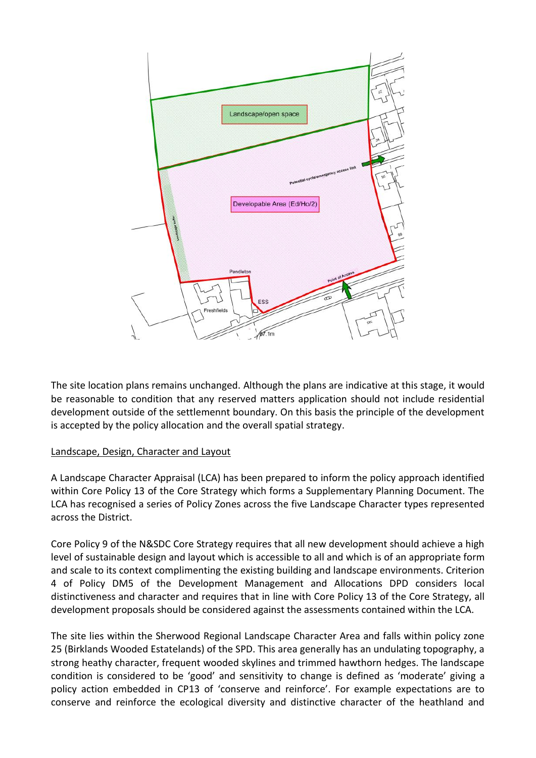

The site location plans remains unchanged. Although the plans are indicative at this stage, it would be reasonable to condition that any reserved matters application should not include residential development outside of the settlemennt boundary. On this basis the principle of the development is accepted by the policy allocation and the overall spatial strategy.

#### Landscape, Design, Character and Layout

A Landscape Character Appraisal (LCA) has been prepared to inform the policy approach identified within Core Policy 13 of the Core Strategy which forms a Supplementary Planning Document. The LCA has recognised a series of Policy Zones across the five Landscape Character types represented across the District.

Core Policy 9 of the N&SDC Core Strategy requires that all new development should achieve a high level of sustainable design and layout which is accessible to all and which is of an appropriate form and scale to its context complimenting the existing building and landscape environments. Criterion 4 of Policy DM5 of the Development Management and Allocations DPD considers local distinctiveness and character and requires that in line with Core Policy 13 of the Core Strategy, all development proposals should be considered against the assessments contained within the LCA.

The site lies within the Sherwood Regional Landscape Character Area and falls within policy zone 25 (Birklands Wooded Estatelands) of the SPD. This area generally has an undulating topography, a strong heathy character, frequent wooded skylines and trimmed hawthorn hedges. The landscape condition is considered to be 'good' and sensitivity to change is defined as 'moderate' giving a policy action embedded in CP13 of 'conserve and reinforce'. For example expectations are to conserve and reinforce the ecological diversity and distinctive character of the heathland and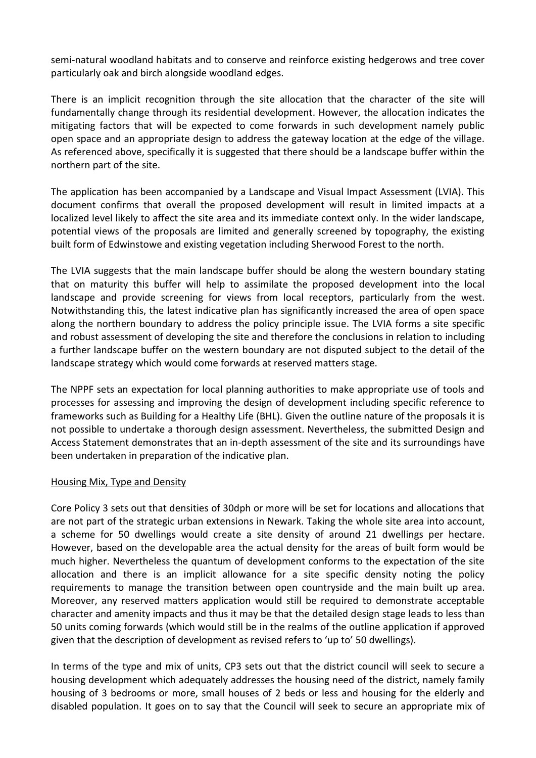semi-natural woodland habitats and to conserve and reinforce existing hedgerows and tree cover particularly oak and birch alongside woodland edges.

There is an implicit recognition through the site allocation that the character of the site will fundamentally change through its residential development. However, the allocation indicates the mitigating factors that will be expected to come forwards in such development namely public open space and an appropriate design to address the gateway location at the edge of the village. As referenced above, specifically it is suggested that there should be a landscape buffer within the northern part of the site.

The application has been accompanied by a Landscape and Visual Impact Assessment (LVIA). This document confirms that overall the proposed development will result in limited impacts at a localized level likely to affect the site area and its immediate context only. In the wider landscape, potential views of the proposals are limited and generally screened by topography, the existing built form of Edwinstowe and existing vegetation including Sherwood Forest to the north.

The LVIA suggests that the main landscape buffer should be along the western boundary stating that on maturity this buffer will help to assimilate the proposed development into the local landscape and provide screening for views from local receptors, particularly from the west. Notwithstanding this, the latest indicative plan has significantly increased the area of open space along the northern boundary to address the policy principle issue. The LVIA forms a site specific and robust assessment of developing the site and therefore the conclusions in relation to including a further landscape buffer on the western boundary are not disputed subject to the detail of the landscape strategy which would come forwards at reserved matters stage.

The NPPF sets an expectation for local planning authorities to make appropriate use of tools and processes for assessing and improving the design of development including specific reference to frameworks such as Building for a Healthy Life (BHL). Given the outline nature of the proposals it is not possible to undertake a thorough design assessment. Nevertheless, the submitted Design and Access Statement demonstrates that an in-depth assessment of the site and its surroundings have been undertaken in preparation of the indicative plan.

#### Housing Mix, Type and Density

Core Policy 3 sets out that densities of 30dph or more will be set for locations and allocations that are not part of the strategic urban extensions in Newark. Taking the whole site area into account, a scheme for 50 dwellings would create a site density of around 21 dwellings per hectare. However, based on the developable area the actual density for the areas of built form would be much higher. Nevertheless the quantum of development conforms to the expectation of the site allocation and there is an implicit allowance for a site specific density noting the policy requirements to manage the transition between open countryside and the main built up area. Moreover, any reserved matters application would still be required to demonstrate acceptable character and amenity impacts and thus it may be that the detailed design stage leads to less than 50 units coming forwards (which would still be in the realms of the outline application if approved given that the description of development as revised refers to 'up to' 50 dwellings).

In terms of the type and mix of units, CP3 sets out that the district council will seek to secure a housing development which adequately addresses the housing need of the district, namely family housing of 3 bedrooms or more, small houses of 2 beds or less and housing for the elderly and disabled population. It goes on to say that the Council will seek to secure an appropriate mix of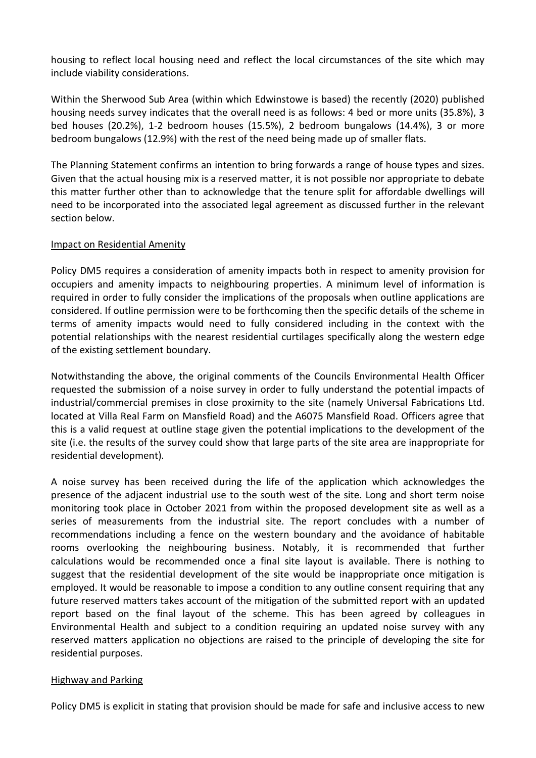housing to reflect local housing need and reflect the local circumstances of the site which may include viability considerations.

Within the Sherwood Sub Area (within which Edwinstowe is based) the recently (2020) published housing needs survey indicates that the overall need is as follows: 4 bed or more units (35.8%), 3 bed houses (20.2%), 1-2 bedroom houses (15.5%), 2 bedroom bungalows (14.4%), 3 or more bedroom bungalows (12.9%) with the rest of the need being made up of smaller flats.

The Planning Statement confirms an intention to bring forwards a range of house types and sizes. Given that the actual housing mix is a reserved matter, it is not possible nor appropriate to debate this matter further other than to acknowledge that the tenure split for affordable dwellings will need to be incorporated into the associated legal agreement as discussed further in the relevant section below.

### Impact on Residential Amenity

Policy DM5 requires a consideration of amenity impacts both in respect to amenity provision for occupiers and amenity impacts to neighbouring properties. A minimum level of information is required in order to fully consider the implications of the proposals when outline applications are considered. If outline permission were to be forthcoming then the specific details of the scheme in terms of amenity impacts would need to fully considered including in the context with the potential relationships with the nearest residential curtilages specifically along the western edge of the existing settlement boundary.

Notwithstanding the above, the original comments of the Councils Environmental Health Officer requested the submission of a noise survey in order to fully understand the potential impacts of industrial/commercial premises in close proximity to the site (namely Universal Fabrications Ltd. located at Villa Real Farm on Mansfield Road) and the A6075 Mansfield Road. Officers agree that this is a valid request at outline stage given the potential implications to the development of the site (i.e. the results of the survey could show that large parts of the site area are inappropriate for residential development).

A noise survey has been received during the life of the application which acknowledges the presence of the adjacent industrial use to the south west of the site. Long and short term noise monitoring took place in October 2021 from within the proposed development site as well as a series of measurements from the industrial site. The report concludes with a number of recommendations including a fence on the western boundary and the avoidance of habitable rooms overlooking the neighbouring business. Notably, it is recommended that further calculations would be recommended once a final site layout is available. There is nothing to suggest that the residential development of the site would be inappropriate once mitigation is employed. It would be reasonable to impose a condition to any outline consent requiring that any future reserved matters takes account of the mitigation of the submitted report with an updated report based on the final layout of the scheme. This has been agreed by colleagues in Environmental Health and subject to a condition requiring an updated noise survey with any reserved matters application no objections are raised to the principle of developing the site for residential purposes.

#### Highway and Parking

Policy DM5 is explicit in stating that provision should be made for safe and inclusive access to new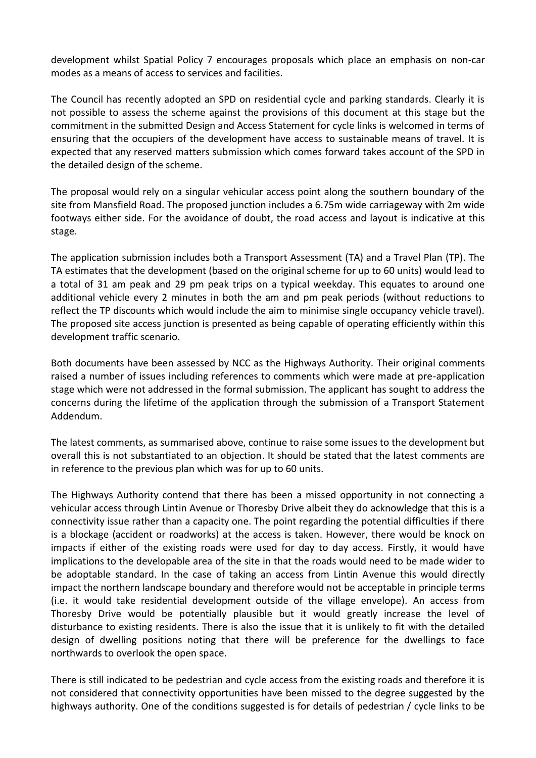development whilst Spatial Policy 7 encourages proposals which place an emphasis on non-car modes as a means of access to services and facilities.

The Council has recently adopted an SPD on residential cycle and parking standards. Clearly it is not possible to assess the scheme against the provisions of this document at this stage but the commitment in the submitted Design and Access Statement for cycle links is welcomed in terms of ensuring that the occupiers of the development have access to sustainable means of travel. It is expected that any reserved matters submission which comes forward takes account of the SPD in the detailed design of the scheme.

The proposal would rely on a singular vehicular access point along the southern boundary of the site from Mansfield Road. The proposed junction includes a 6.75m wide carriageway with 2m wide footways either side. For the avoidance of doubt, the road access and layout is indicative at this stage.

The application submission includes both a Transport Assessment (TA) and a Travel Plan (TP). The TA estimates that the development (based on the original scheme for up to 60 units) would lead to a total of 31 am peak and 29 pm peak trips on a typical weekday. This equates to around one additional vehicle every 2 minutes in both the am and pm peak periods (without reductions to reflect the TP discounts which would include the aim to minimise single occupancy vehicle travel). The proposed site access junction is presented as being capable of operating efficiently within this development traffic scenario.

Both documents have been assessed by NCC as the Highways Authority. Their original comments raised a number of issues including references to comments which were made at pre-application stage which were not addressed in the formal submission. The applicant has sought to address the concerns during the lifetime of the application through the submission of a Transport Statement Addendum.

The latest comments, as summarised above, continue to raise some issues to the development but overall this is not substantiated to an objection. It should be stated that the latest comments are in reference to the previous plan which was for up to 60 units.

The Highways Authority contend that there has been a missed opportunity in not connecting a vehicular access through Lintin Avenue or Thoresby Drive albeit they do acknowledge that this is a connectivity issue rather than a capacity one. The point regarding the potential difficulties if there is a blockage (accident or roadworks) at the access is taken. However, there would be knock on impacts if either of the existing roads were used for day to day access. Firstly, it would have implications to the developable area of the site in that the roads would need to be made wider to be adoptable standard. In the case of taking an access from Lintin Avenue this would directly impact the northern landscape boundary and therefore would not be acceptable in principle terms (i.e. it would take residential development outside of the village envelope). An access from Thoresby Drive would be potentially plausible but it would greatly increase the level of disturbance to existing residents. There is also the issue that it is unlikely to fit with the detailed design of dwelling positions noting that there will be preference for the dwellings to face northwards to overlook the open space.

There is still indicated to be pedestrian and cycle access from the existing roads and therefore it is not considered that connectivity opportunities have been missed to the degree suggested by the highways authority. One of the conditions suggested is for details of pedestrian / cycle links to be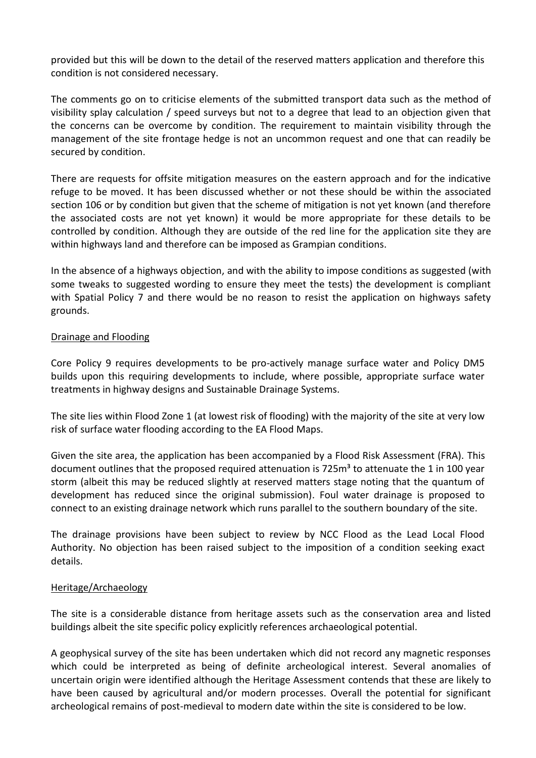provided but this will be down to the detail of the reserved matters application and therefore this condition is not considered necessary.

The comments go on to criticise elements of the submitted transport data such as the method of visibility splay calculation / speed surveys but not to a degree that lead to an objection given that the concerns can be overcome by condition. The requirement to maintain visibility through the management of the site frontage hedge is not an uncommon request and one that can readily be secured by condition.

There are requests for offsite mitigation measures on the eastern approach and for the indicative refuge to be moved. It has been discussed whether or not these should be within the associated section 106 or by condition but given that the scheme of mitigation is not yet known (and therefore the associated costs are not yet known) it would be more appropriate for these details to be controlled by condition. Although they are outside of the red line for the application site they are within highways land and therefore can be imposed as Grampian conditions.

In the absence of a highways objection, and with the ability to impose conditions as suggested (with some tweaks to suggested wording to ensure they meet the tests) the development is compliant with Spatial Policy 7 and there would be no reason to resist the application on highways safety grounds.

#### Drainage and Flooding

Core Policy 9 requires developments to be pro-actively manage surface water and Policy DM5 builds upon this requiring developments to include, where possible, appropriate surface water treatments in highway designs and Sustainable Drainage Systems.

The site lies within Flood Zone 1 (at lowest risk of flooding) with the majority of the site at very low risk of surface water flooding according to the EA Flood Maps.

Given the site area, the application has been accompanied by a Flood Risk Assessment (FRA). This document outlines that the proposed required attenuation is 725m<sup>3</sup> to attenuate the 1 in 100 year storm (albeit this may be reduced slightly at reserved matters stage noting that the quantum of development has reduced since the original submission). Foul water drainage is proposed to connect to an existing drainage network which runs parallel to the southern boundary of the site.

The drainage provisions have been subject to review by NCC Flood as the Lead Local Flood Authority. No objection has been raised subject to the imposition of a condition seeking exact details.

#### Heritage/Archaeology

The site is a considerable distance from heritage assets such as the conservation area and listed buildings albeit the site specific policy explicitly references archaeological potential.

A geophysical survey of the site has been undertaken which did not record any magnetic responses which could be interpreted as being of definite archeological interest. Several anomalies of uncertain origin were identified although the Heritage Assessment contends that these are likely to have been caused by agricultural and/or modern processes. Overall the potential for significant archeological remains of post-medieval to modern date within the site is considered to be low.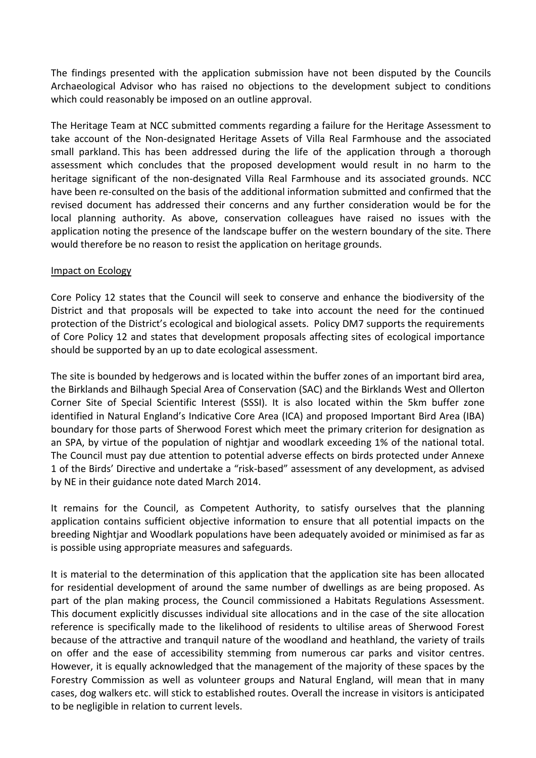The findings presented with the application submission have not been disputed by the Councils Archaeological Advisor who has raised no objections to the development subject to conditions which could reasonably be imposed on an outline approval.

The Heritage Team at NCC submitted comments regarding a failure for the Heritage Assessment to take account of the Non-designated Heritage Assets of Villa Real Farmhouse and the associated small parkland. This has been addressed during the life of the application through a thorough assessment which concludes that the proposed development would result in no harm to the heritage significant of the non-designated Villa Real Farmhouse and its associated grounds. NCC have been re-consulted on the basis of the additional information submitted and confirmed that the revised document has addressed their concerns and any further consideration would be for the local planning authority. As above, conservation colleagues have raised no issues with the application noting the presence of the landscape buffer on the western boundary of the site. There would therefore be no reason to resist the application on heritage grounds.

#### Impact on Ecology

Core Policy 12 states that the Council will seek to conserve and enhance the biodiversity of the District and that proposals will be expected to take into account the need for the continued protection of the District's ecological and biological assets. Policy DM7 supports the requirements of Core Policy 12 and states that development proposals affecting sites of ecological importance should be supported by an up to date ecological assessment.

The site is bounded by hedgerows and is located within the buffer zones of an important bird area, the Birklands and Bilhaugh Special Area of Conservation (SAC) and the Birklands West and Ollerton Corner Site of Special Scientific Interest (SSSI). It is also located within the 5km buffer zone identified in Natural England's Indicative Core Area (ICA) and proposed Important Bird Area (IBA) boundary for those parts of Sherwood Forest which meet the primary criterion for designation as an SPA, by virtue of the population of nightjar and woodlark exceeding 1% of the national total. The Council must pay due attention to potential adverse effects on birds protected under Annexe 1 of the Birds' Directive and undertake a "risk-based" assessment of any development, as advised by NE in their guidance note dated March 2014.

It remains for the Council, as Competent Authority, to satisfy ourselves that the planning application contains sufficient objective information to ensure that all potential impacts on the breeding Nightjar and Woodlark populations have been adequately avoided or minimised as far as is possible using appropriate measures and safeguards.

It is material to the determination of this application that the application site has been allocated for residential development of around the same number of dwellings as are being proposed. As part of the plan making process, the Council commissioned a Habitats Regulations Assessment. This document explicitly discusses individual site allocations and in the case of the site allocation reference is specifically made to the likelihood of residents to ultilise areas of Sherwood Forest because of the attractive and tranquil nature of the woodland and heathland, the variety of trails on offer and the ease of accessibility stemming from numerous car parks and visitor centres. However, it is equally acknowledged that the management of the majority of these spaces by the Forestry Commission as well as volunteer groups and Natural England, will mean that in many cases, dog walkers etc. will stick to established routes. Overall the increase in visitors is anticipated to be negligible in relation to current levels.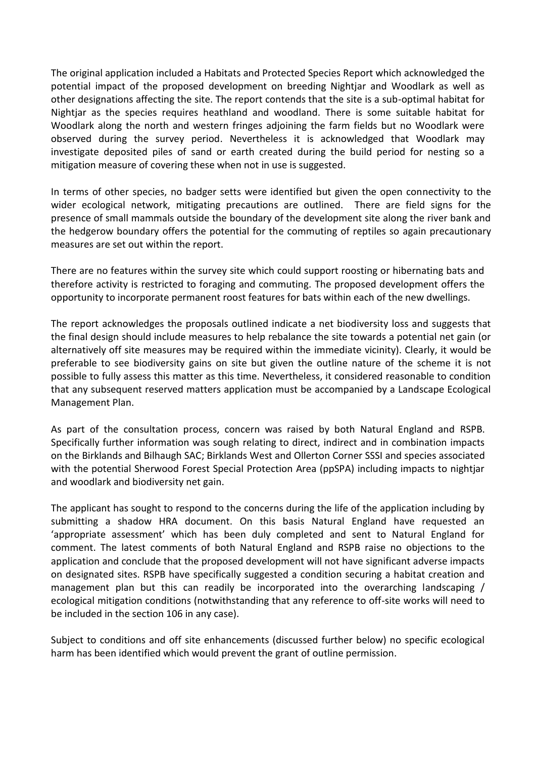The original application included a Habitats and Protected Species Report which acknowledged the potential impact of the proposed development on breeding Nightjar and Woodlark as well as other designations affecting the site. The report contends that the site is a sub-optimal habitat for Nightjar as the species requires heathland and woodland. There is some suitable habitat for Woodlark along the north and western fringes adjoining the farm fields but no Woodlark were observed during the survey period. Nevertheless it is acknowledged that Woodlark may investigate deposited piles of sand or earth created during the build period for nesting so a mitigation measure of covering these when not in use is suggested.

In terms of other species, no badger setts were identified but given the open connectivity to the wider ecological network, mitigating precautions are outlined. There are field signs for the presence of small mammals outside the boundary of the development site along the river bank and the hedgerow boundary offers the potential for the commuting of reptiles so again precautionary measures are set out within the report.

There are no features within the survey site which could support roosting or hibernating bats and therefore activity is restricted to foraging and commuting. The proposed development offers the opportunity to incorporate permanent roost features for bats within each of the new dwellings.

The report acknowledges the proposals outlined indicate a net biodiversity loss and suggests that the final design should include measures to help rebalance the site towards a potential net gain (or alternatively off site measures may be required within the immediate vicinity). Clearly, it would be preferable to see biodiversity gains on site but given the outline nature of the scheme it is not possible to fully assess this matter as this time. Nevertheless, it considered reasonable to condition that any subsequent reserved matters application must be accompanied by a Landscape Ecological Management Plan.

As part of the consultation process, concern was raised by both Natural England and RSPB. Specifically further information was sough relating to direct, indirect and in combination impacts on the Birklands and Bilhaugh SAC; Birklands West and Ollerton Corner SSSI and species associated with the potential Sherwood Forest Special Protection Area (ppSPA) including impacts to nightjar and woodlark and biodiversity net gain.

The applicant has sought to respond to the concerns during the life of the application including by submitting a shadow HRA document. On this basis Natural England have requested an 'appropriate assessment' which has been duly completed and sent to Natural England for comment. The latest comments of both Natural England and RSPB raise no objections to the application and conclude that the proposed development will not have significant adverse impacts on designated sites. RSPB have specifically suggested a condition securing a habitat creation and management plan but this can readily be incorporated into the overarching landscaping / ecological mitigation conditions (notwithstanding that any reference to off-site works will need to be included in the section 106 in any case).

Subject to conditions and off site enhancements (discussed further below) no specific ecological harm has been identified which would prevent the grant of outline permission.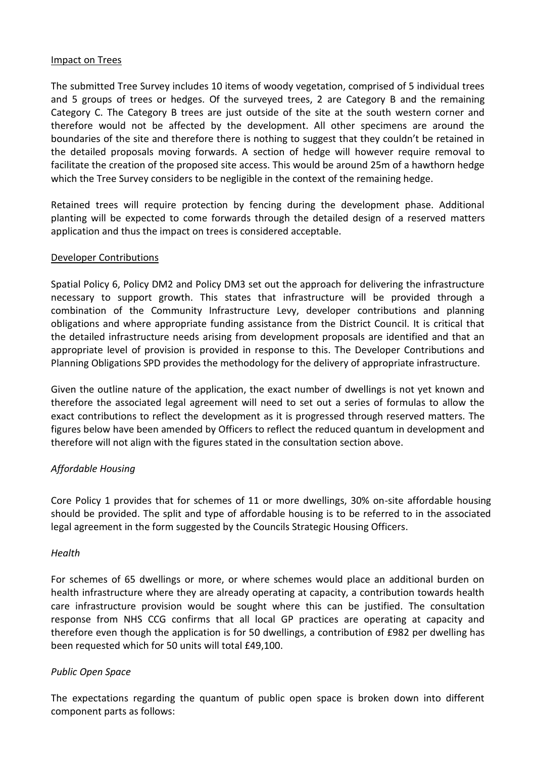#### Impact on Trees

The submitted Tree Survey includes 10 items of woody vegetation, comprised of 5 individual trees and 5 groups of trees or hedges. Of the surveyed trees, 2 are Category B and the remaining Category C. The Category B trees are just outside of the site at the south western corner and therefore would not be affected by the development. All other specimens are around the boundaries of the site and therefore there is nothing to suggest that they couldn't be retained in the detailed proposals moving forwards. A section of hedge will however require removal to facilitate the creation of the proposed site access. This would be around 25m of a hawthorn hedge which the Tree Survey considers to be negligible in the context of the remaining hedge.

Retained trees will require protection by fencing during the development phase. Additional planting will be expected to come forwards through the detailed design of a reserved matters application and thus the impact on trees is considered acceptable.

#### Developer Contributions

Spatial Policy 6, Policy DM2 and Policy DM3 set out the approach for delivering the infrastructure necessary to support growth. This states that infrastructure will be provided through a combination of the Community Infrastructure Levy, developer contributions and planning obligations and where appropriate funding assistance from the District Council. It is critical that the detailed infrastructure needs arising from development proposals are identified and that an appropriate level of provision is provided in response to this. The Developer Contributions and Planning Obligations SPD provides the methodology for the delivery of appropriate infrastructure.

Given the outline nature of the application, the exact number of dwellings is not yet known and therefore the associated legal agreement will need to set out a series of formulas to allow the exact contributions to reflect the development as it is progressed through reserved matters. The figures below have been amended by Officers to reflect the reduced quantum in development and therefore will not align with the figures stated in the consultation section above.

## *Affordable Housing*

Core Policy 1 provides that for schemes of 11 or more dwellings, 30% on-site affordable housing should be provided. The split and type of affordable housing is to be referred to in the associated legal agreement in the form suggested by the Councils Strategic Housing Officers.

#### *Health*

For schemes of 65 dwellings or more, or where schemes would place an additional burden on health infrastructure where they are already operating at capacity, a contribution towards health care infrastructure provision would be sought where this can be justified. The consultation response from NHS CCG confirms that all local GP practices are operating at capacity and therefore even though the application is for 50 dwellings, a contribution of £982 per dwelling has been requested which for 50 units will total £49,100.

#### *Public Open Space*

The expectations regarding the quantum of public open space is broken down into different component parts as follows: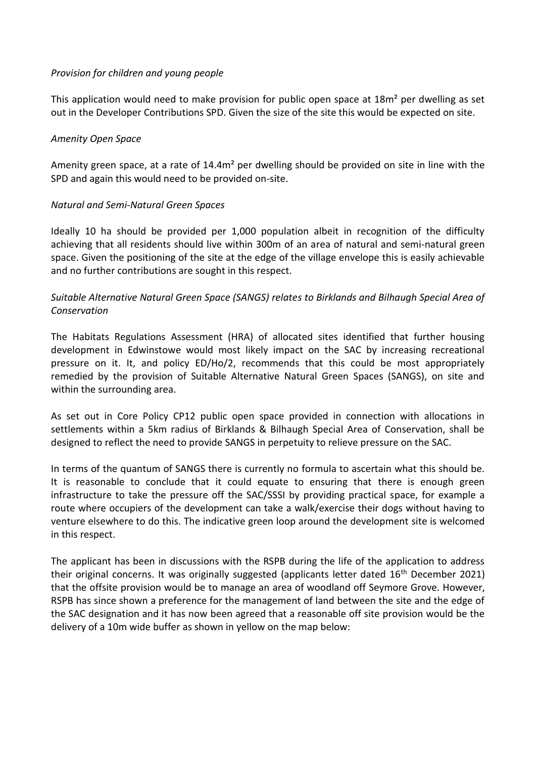#### *Provision for children and young people*

This application would need to make provision for public open space at 18m² per dwelling as set out in the Developer Contributions SPD. Given the size of the site this would be expected on site.

### *Amenity Open Space*

Amenity green space, at a rate of 14.4m² per dwelling should be provided on site in line with the SPD and again this would need to be provided on-site.

### *Natural and Semi-Natural Green Spaces*

Ideally 10 ha should be provided per 1,000 population albeit in recognition of the difficulty achieving that all residents should live within 300m of an area of natural and semi-natural green space. Given the positioning of the site at the edge of the village envelope this is easily achievable and no further contributions are sought in this respect.

## *Suitable Alternative Natural Green Space (SANGS) relates to Birklands and Bilhaugh Special Area of Conservation*

The Habitats Regulations Assessment (HRA) of allocated sites identified that further housing development in Edwinstowe would most likely impact on the SAC by increasing recreational pressure on it. It, and policy ED/Ho/2, recommends that this could be most appropriately remedied by the provision of Suitable Alternative Natural Green Spaces (SANGS), on site and within the surrounding area.

As set out in Core Policy CP12 public open space provided in connection with allocations in settlements within a 5km radius of Birklands & Bilhaugh Special Area of Conservation, shall be designed to reflect the need to provide SANGS in perpetuity to relieve pressure on the SAC.

In terms of the quantum of SANGS there is currently no formula to ascertain what this should be. It is reasonable to conclude that it could equate to ensuring that there is enough green infrastructure to take the pressure off the SAC/SSSI by providing practical space, for example a route where occupiers of the development can take a walk/exercise their dogs without having to venture elsewhere to do this. The indicative green loop around the development site is welcomed in this respect.

The applicant has been in discussions with the RSPB during the life of the application to address their original concerns. It was originally suggested (applicants letter dated  $16<sup>th</sup>$  December 2021) that the offsite provision would be to manage an area of woodland off Seymore Grove. However, RSPB has since shown a preference for the management of land between the site and the edge of the SAC designation and it has now been agreed that a reasonable off site provision would be the delivery of a 10m wide buffer as shown in yellow on the map below: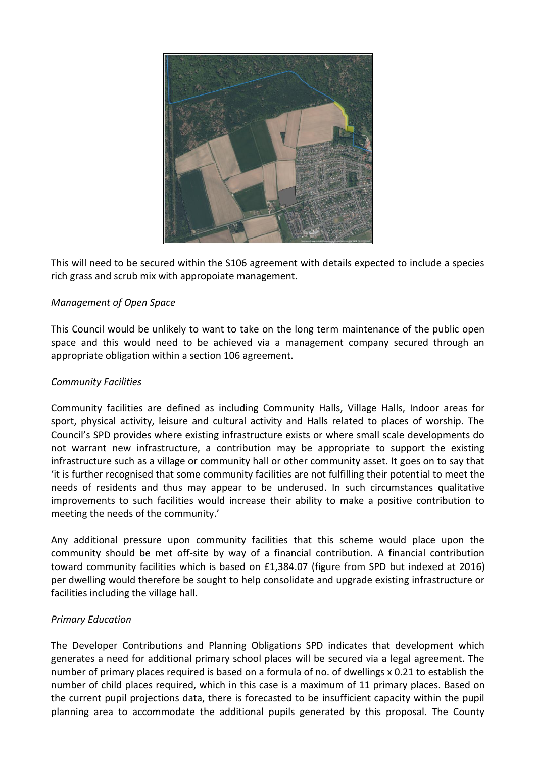

This will need to be secured within the S106 agreement with details expected to include a species rich grass and scrub mix with appropoiate management.

### *Management of Open Space*

This Council would be unlikely to want to take on the long term maintenance of the public open space and this would need to be achieved via a management company secured through an appropriate obligation within a section 106 agreement.

#### *Community Facilities*

Community facilities are defined as including Community Halls, Village Halls, Indoor areas for sport, physical activity, leisure and cultural activity and Halls related to places of worship. The Council's SPD provides where existing infrastructure exists or where small scale developments do not warrant new infrastructure, a contribution may be appropriate to support the existing infrastructure such as a village or community hall or other community asset. It goes on to say that 'it is further recognised that some community facilities are not fulfilling their potential to meet the needs of residents and thus may appear to be underused. In such circumstances qualitative improvements to such facilities would increase their ability to make a positive contribution to meeting the needs of the community.'

Any additional pressure upon community facilities that this scheme would place upon the community should be met off-site by way of a financial contribution. A financial contribution toward community facilities which is based on £1,384.07 (figure from SPD but indexed at 2016) per dwelling would therefore be sought to help consolidate and upgrade existing infrastructure or facilities including the village hall.

#### *Primary Education*

The Developer Contributions and Planning Obligations SPD indicates that development which generates a need for additional primary school places will be secured via a legal agreement. The number of primary places required is based on a formula of no. of dwellings x 0.21 to establish the number of child places required, which in this case is a maximum of 11 primary places. Based on the current pupil projections data, there is forecasted to be insufficient capacity within the pupil planning area to accommodate the additional pupils generated by this proposal. The County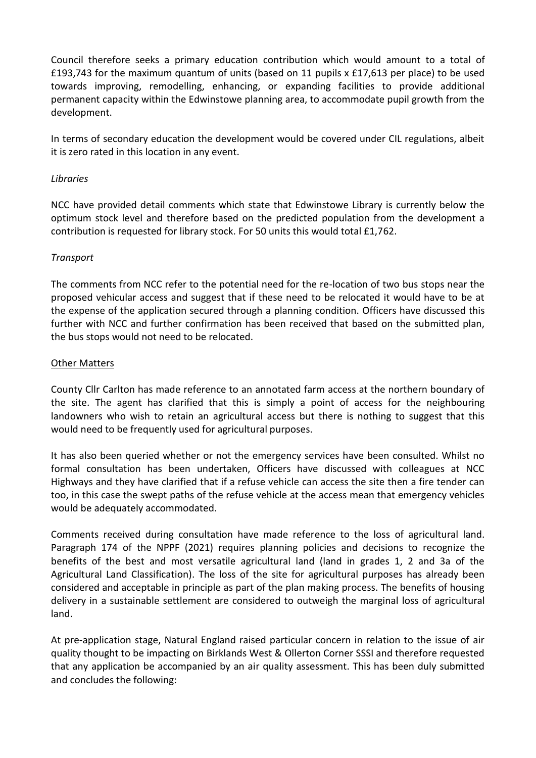Council therefore seeks a primary education contribution which would amount to a total of £193,743 for the maximum quantum of units (based on 11 pupils x £17,613 per place) to be used towards improving, remodelling, enhancing, or expanding facilities to provide additional permanent capacity within the Edwinstowe planning area, to accommodate pupil growth from the development.

In terms of secondary education the development would be covered under CIL regulations, albeit it is zero rated in this location in any event.

### *Libraries*

NCC have provided detail comments which state that Edwinstowe Library is currently below the optimum stock level and therefore based on the predicted population from the development a contribution is requested for library stock. For 50 units this would total £1,762.

### *Transport*

The comments from NCC refer to the potential need for the re-location of two bus stops near the proposed vehicular access and suggest that if these need to be relocated it would have to be at the expense of the application secured through a planning condition. Officers have discussed this further with NCC and further confirmation has been received that based on the submitted plan, the bus stops would not need to be relocated.

#### Other Matters

County Cllr Carlton has made reference to an annotated farm access at the northern boundary of the site. The agent has clarified that this is simply a point of access for the neighbouring landowners who wish to retain an agricultural access but there is nothing to suggest that this would need to be frequently used for agricultural purposes.

It has also been queried whether or not the emergency services have been consulted. Whilst no formal consultation has been undertaken, Officers have discussed with colleagues at NCC Highways and they have clarified that if a refuse vehicle can access the site then a fire tender can too, in this case the swept paths of the refuse vehicle at the access mean that emergency vehicles would be adequately accommodated.

Comments received during consultation have made reference to the loss of agricultural land. Paragraph 174 of the NPPF (2021) requires planning policies and decisions to recognize the benefits of the best and most versatile agricultural land (land in grades 1, 2 and 3a of the Agricultural Land Classification). The loss of the site for agricultural purposes has already been considered and acceptable in principle as part of the plan making process. The benefits of housing delivery in a sustainable settlement are considered to outweigh the marginal loss of agricultural land.

At pre-application stage, Natural England raised particular concern in relation to the issue of air quality thought to be impacting on Birklands West & Ollerton Corner SSSI and therefore requested that any application be accompanied by an air quality assessment. This has been duly submitted and concludes the following: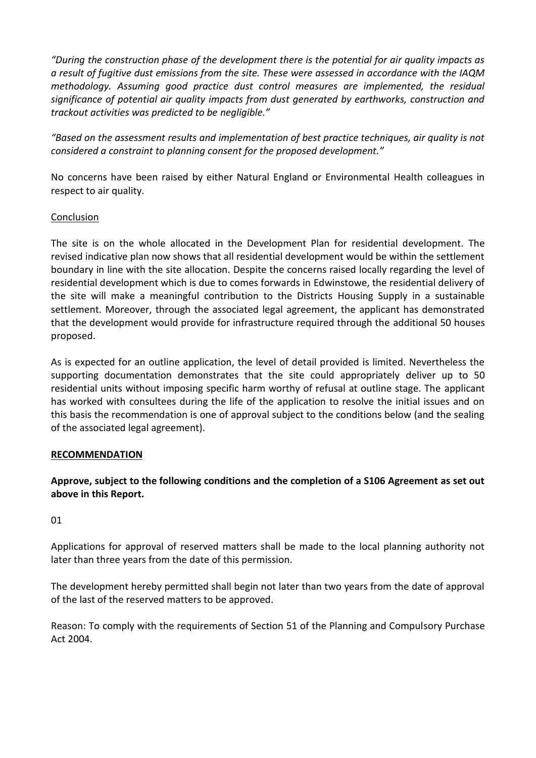*"During the construction phase of the development there is the potential for air quality impacts as a result of fugitive dust emissions from the site. These were assessed in accordance with the IAQM methodology. Assuming good practice dust control measures are implemented, the residual significance of potential air quality impacts from dust generated by earthworks, construction and trackout activities was predicted to be negligible."*

*"Based on the assessment results and implementation of best practice techniques, air quality is not considered a constraint to planning consent for the proposed development."*

No concerns have been raised by either Natural England or Environmental Health colleagues in respect to air quality.

### **Conclusion**

The site is on the whole allocated in the Development Plan for residential development. The revised indicative plan now shows that all residential development would be within the settlement boundary in line with the site allocation. Despite the concerns raised locally regarding the level of residential development which is due to comes forwards in Edwinstowe, the residential delivery of the site will make a meaningful contribution to the Districts Housing Supply in a sustainable settlement. Moreover, through the associated legal agreement, the applicant has demonstrated that the development would provide for infrastructure required through the additional 50 houses proposed.

As is expected for an outline application, the level of detail provided is limited. Nevertheless the supporting documentation demonstrates that the site could appropriately deliver up to 50 residential units without imposing specific harm worthy of refusal at outline stage. The applicant has worked with consultees during the life of the application to resolve the initial issues and on this basis the recommendation is one of approval subject to the conditions below (and the sealing of the associated legal agreement).

#### **RECOMMENDATION**

**Approve, subject to the following conditions and the completion of a S106 Agreement as set out above in this Report.** 

01

Applications for approval of reserved matters shall be made to the local planning authority not later than three years from the date of this permission.

The development hereby permitted shall begin not later than two years from the date of approval of the last of the reserved matters to be approved.

Reason: To comply with the requirements of Section 51 of the Planning and Compulsory Purchase Act 2004.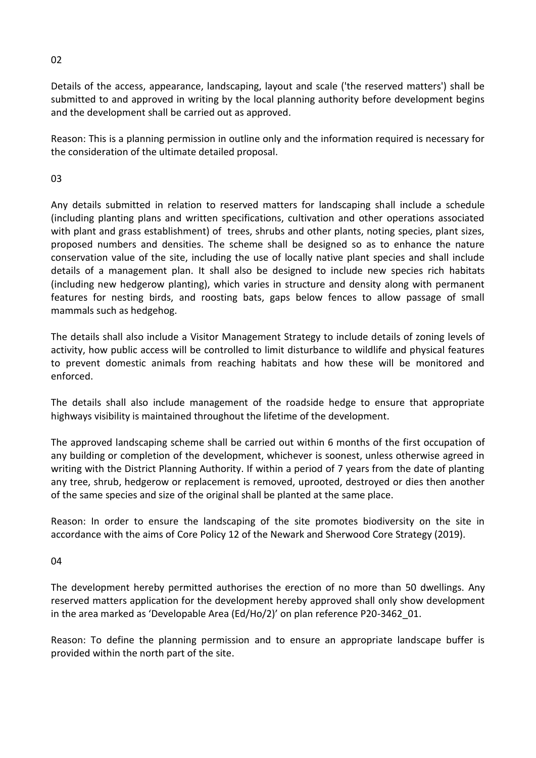Details of the access, appearance, landscaping, layout and scale ('the reserved matters') shall be submitted to and approved in writing by the local planning authority before development begins and the development shall be carried out as approved.

Reason: This is a planning permission in outline only and the information required is necessary for the consideration of the ultimate detailed proposal.

03

Any details submitted in relation to reserved matters for landscaping shall include a schedule (including planting plans and written specifications, cultivation and other operations associated with plant and grass establishment) of trees, shrubs and other plants, noting species, plant sizes, proposed numbers and densities. The scheme shall be designed so as to enhance the nature conservation value of the site, including the use of locally native plant species and shall include details of a management plan. It shall also be designed to include new species rich habitats (including new hedgerow planting), which varies in structure and density along with permanent features for nesting birds, and roosting bats, gaps below fences to allow passage of small mammals such as hedgehog.

The details shall also include a Visitor Management Strategy to include details of zoning levels of activity, how public access will be controlled to limit disturbance to wildlife and physical features to prevent domestic animals from reaching habitats and how these will be monitored and enforced.

The details shall also include management of the roadside hedge to ensure that appropriate highways visibility is maintained throughout the lifetime of the development.

The approved landscaping scheme shall be carried out within 6 months of the first occupation of any building or completion of the development, whichever is soonest, unless otherwise agreed in writing with the District Planning Authority. If within a period of 7 years from the date of planting any tree, shrub, hedgerow or replacement is removed, uprooted, destroyed or dies then another of the same species and size of the original shall be planted at the same place.

Reason: In order to ensure the landscaping of the site promotes biodiversity on the site in accordance with the aims of Core Policy 12 of the Newark and Sherwood Core Strategy (2019).

04

The development hereby permitted authorises the erection of no more than 50 dwellings. Any reserved matters application for the development hereby approved shall only show development in the area marked as 'Developable Area (Ed/Ho/2)' on plan reference P20-3462\_01.

Reason: To define the planning permission and to ensure an appropriate landscape buffer is provided within the north part of the site.

02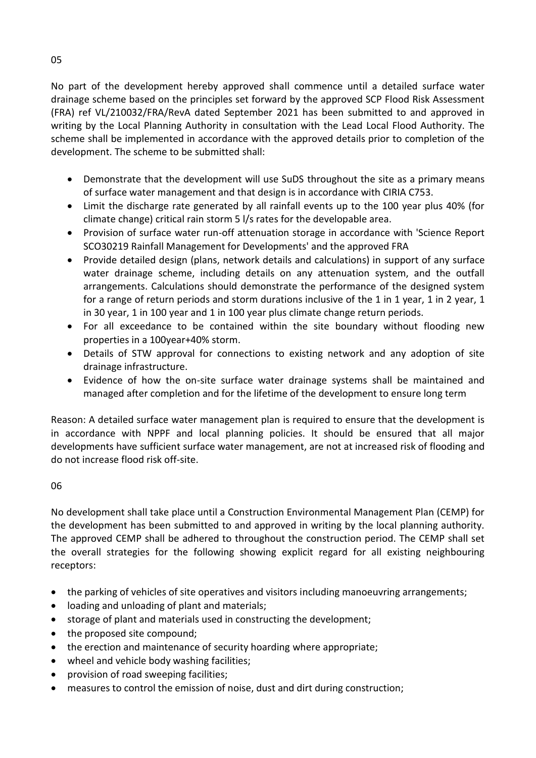No part of the development hereby approved shall commence until a detailed surface water drainage scheme based on the principles set forward by the approved SCP Flood Risk Assessment (FRA) ref VL/210032/FRA/RevA dated September 2021 has been submitted to and approved in writing by the Local Planning Authority in consultation with the Lead Local Flood Authority. The scheme shall be implemented in accordance with the approved details prior to completion of the development. The scheme to be submitted shall:

- Demonstrate that the development will use SuDS throughout the site as a primary means of surface water management and that design is in accordance with CIRIA C753.
- Limit the discharge rate generated by all rainfall events up to the 100 year plus 40% (for climate change) critical rain storm 5 l/s rates for the developable area.
- Provision of surface water run-off attenuation storage in accordance with 'Science Report SCO30219 Rainfall Management for Developments' and the approved FRA
- Provide detailed design (plans, network details and calculations) in support of any surface water drainage scheme, including details on any attenuation system, and the outfall arrangements. Calculations should demonstrate the performance of the designed system for a range of return periods and storm durations inclusive of the 1 in 1 year, 1 in 2 year, 1 in 30 year, 1 in 100 year and 1 in 100 year plus climate change return periods.
- For all exceedance to be contained within the site boundary without flooding new properties in a 100year+40% storm.
- Details of STW approval for connections to existing network and any adoption of site drainage infrastructure.
- Evidence of how the on-site surface water drainage systems shall be maintained and managed after completion and for the lifetime of the development to ensure long term

Reason: A detailed surface water management plan is required to ensure that the development is in accordance with NPPF and local planning policies. It should be ensured that all major developments have sufficient surface water management, are not at increased risk of flooding and do not increase flood risk off-site.

## 06

No development shall take place until a Construction Environmental Management Plan (CEMP) for the development has been submitted to and approved in writing by the local planning authority. The approved CEMP shall be adhered to throughout the construction period. The CEMP shall set the overall strategies for the following showing explicit regard for all existing neighbouring receptors:

- the parking of vehicles of site operatives and visitors including manoeuvring arrangements;
- loading and unloading of plant and materials;
- storage of plant and materials used in constructing the development;
- the proposed site compound;
- the erection and maintenance of security hoarding where appropriate;
- wheel and vehicle body washing facilities;
- provision of road sweeping facilities;
- measures to control the emission of noise, dust and dirt during construction;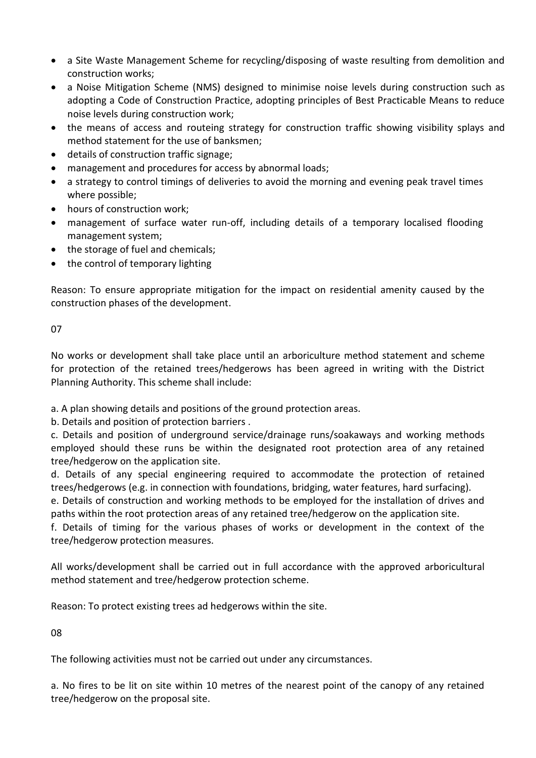- a Site Waste Management Scheme for recycling/disposing of waste resulting from demolition and construction works;
- a Noise Mitigation Scheme (NMS) designed to minimise noise levels during construction such as adopting a Code of Construction Practice, adopting principles of Best Practicable Means to reduce noise levels during construction work;
- the means of access and routeing strategy for construction traffic showing visibility splays and method statement for the use of banksmen;
- details of construction traffic signage;
- management and procedures for access by abnormal loads;
- a strategy to control timings of deliveries to avoid the morning and evening peak travel times where possible;
- hours of construction work;
- management of surface water run-off, including details of a temporary localised flooding management system;
- the storage of fuel and chemicals;
- the control of temporary lighting

Reason: To ensure appropriate mitigation for the impact on residential amenity caused by the construction phases of the development.

07

No works or development shall take place until an arboriculture method statement and scheme for protection of the retained trees/hedgerows has been agreed in writing with the District Planning Authority. This scheme shall include:

a. A plan showing details and positions of the ground protection areas.

b. Details and position of protection barriers .

c. Details and position of underground service/drainage runs/soakaways and working methods employed should these runs be within the designated root protection area of any retained tree/hedgerow on the application site.

d. Details of any special engineering required to accommodate the protection of retained trees/hedgerows (e.g. in connection with foundations, bridging, water features, hard surfacing).

e. Details of construction and working methods to be employed for the installation of drives and paths within the root protection areas of any retained tree/hedgerow on the application site.

f. Details of timing for the various phases of works or development in the context of the tree/hedgerow protection measures.

All works/development shall be carried out in full accordance with the approved arboricultural method statement and tree/hedgerow protection scheme.

Reason: To protect existing trees ad hedgerows within the site.

08

The following activities must not be carried out under any circumstances.

a. No fires to be lit on site within 10 metres of the nearest point of the canopy of any retained tree/hedgerow on the proposal site.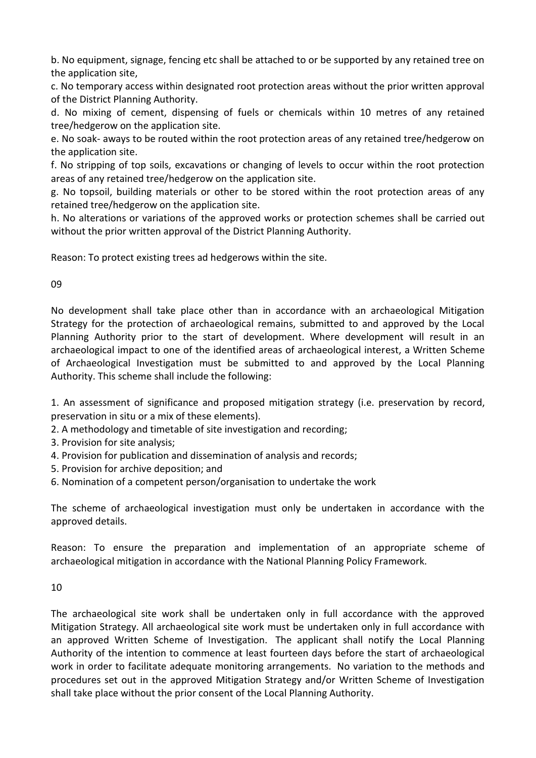b. No equipment, signage, fencing etc shall be attached to or be supported by any retained tree on the application site,

c. No temporary access within designated root protection areas without the prior written approval of the District Planning Authority.

d. No mixing of cement, dispensing of fuels or chemicals within 10 metres of any retained tree/hedgerow on the application site.

e. No soak- aways to be routed within the root protection areas of any retained tree/hedgerow on the application site.

f. No stripping of top soils, excavations or changing of levels to occur within the root protection areas of any retained tree/hedgerow on the application site.

g. No topsoil, building materials or other to be stored within the root protection areas of any retained tree/hedgerow on the application site.

h. No alterations or variations of the approved works or protection schemes shall be carried out without the prior written approval of the District Planning Authority.

Reason: To protect existing trees ad hedgerows within the site.

09

No development shall take place other than in accordance with an archaeological Mitigation Strategy for the protection of archaeological remains, submitted to and approved by the Local Planning Authority prior to the start of development. Where development will result in an archaeological impact to one of the identified areas of archaeological interest, a Written Scheme of Archaeological Investigation must be submitted to and approved by the Local Planning Authority. This scheme shall include the following:

1. An assessment of significance and proposed mitigation strategy (i.e. preservation by record, preservation in situ or a mix of these elements).

- 2. A methodology and timetable of site investigation and recording;
- 3. Provision for site analysis;
- 4. Provision for publication and dissemination of analysis and records;
- 5. Provision for archive deposition; and
- 6. Nomination of a competent person/organisation to undertake the work

The scheme of archaeological investigation must only be undertaken in accordance with the approved details.

Reason: To ensure the preparation and implementation of an appropriate scheme of archaeological mitigation in accordance with the National Planning Policy Framework.

10

The archaeological site work shall be undertaken only in full accordance with the approved Mitigation Strategy. All archaeological site work must be undertaken only in full accordance with an approved Written Scheme of Investigation. The applicant shall notify the Local Planning Authority of the intention to commence at least fourteen days before the start of archaeological work in order to facilitate adequate monitoring arrangements. No variation to the methods and procedures set out in the approved Mitigation Strategy and/or Written Scheme of Investigation shall take place without the prior consent of the Local Planning Authority.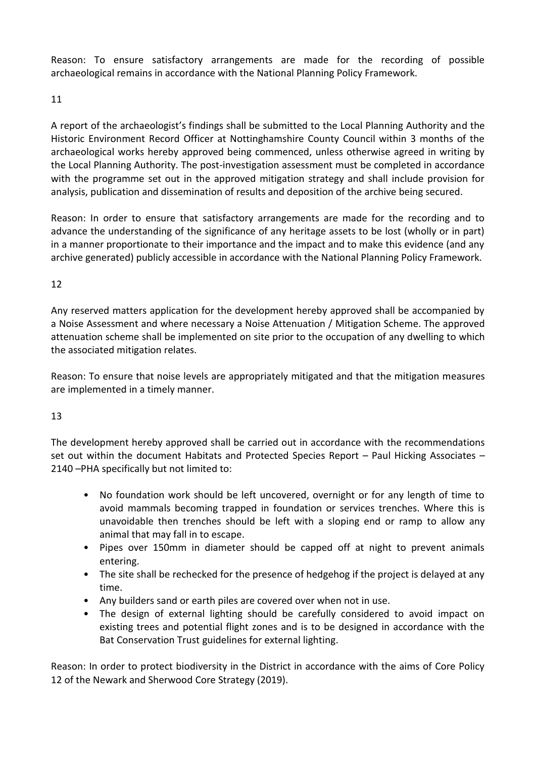Reason: To ensure satisfactory arrangements are made for the recording of possible archaeological remains in accordance with the National Planning Policy Framework.

11

A report of the archaeologist's findings shall be submitted to the Local Planning Authority and the Historic Environment Record Officer at Nottinghamshire County Council within 3 months of the archaeological works hereby approved being commenced, unless otherwise agreed in writing by the Local Planning Authority. The post-investigation assessment must be completed in accordance with the programme set out in the approved mitigation strategy and shall include provision for analysis, publication and dissemination of results and deposition of the archive being secured.

Reason: In order to ensure that satisfactory arrangements are made for the recording and to advance the understanding of the significance of any heritage assets to be lost (wholly or in part) in a manner proportionate to their importance and the impact and to make this evidence (and any archive generated) publicly accessible in accordance with the National Planning Policy Framework.

## 12

Any reserved matters application for the development hereby approved shall be accompanied by a Noise Assessment and where necessary a Noise Attenuation / Mitigation Scheme. The approved attenuation scheme shall be implemented on site prior to the occupation of any dwelling to which the associated mitigation relates.

Reason: To ensure that noise levels are appropriately mitigated and that the mitigation measures are implemented in a timely manner.

## 13

The development hereby approved shall be carried out in accordance with the recommendations set out within the document Habitats and Protected Species Report – Paul Hicking Associates – 2140 –PHA specifically but not limited to:

- No foundation work should be left uncovered, overnight or for any length of time to avoid mammals becoming trapped in foundation or services trenches. Where this is unavoidable then trenches should be left with a sloping end or ramp to allow any animal that may fall in to escape.
- Pipes over 150mm in diameter should be capped off at night to prevent animals entering.
- The site shall be rechecked for the presence of hedgehog if the project is delayed at any time.
- Any builders sand or earth piles are covered over when not in use.
- The design of external lighting should be carefully considered to avoid impact on existing trees and potential flight zones and is to be designed in accordance with the Bat Conservation Trust guidelines for external lighting.

Reason: In order to protect biodiversity in the District in accordance with the aims of Core Policy 12 of the Newark and Sherwood Core Strategy (2019).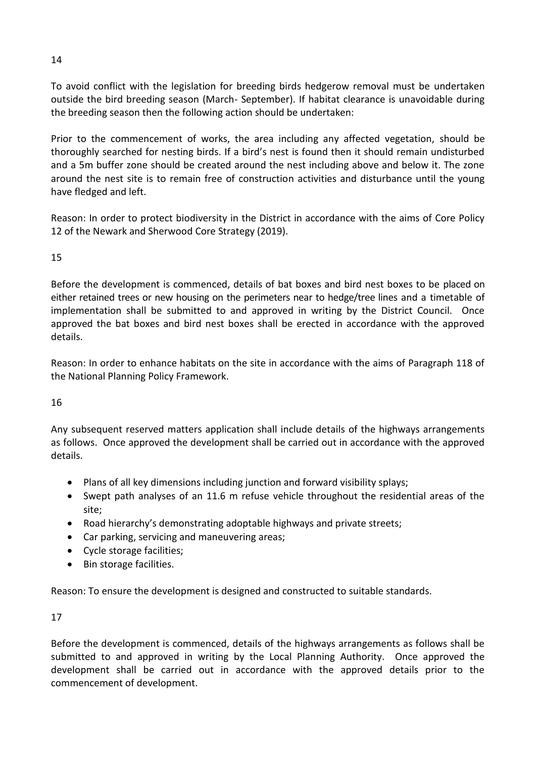To avoid conflict with the legislation for breeding birds hedgerow removal must be undertaken outside the bird breeding season (March- September). If habitat clearance is unavoidable during the breeding season then the following action should be undertaken:

Prior to the commencement of works, the area including any affected vegetation, should be thoroughly searched for nesting birds. If a bird's nest is found then it should remain undisturbed and a 5m buffer zone should be created around the nest including above and below it. The zone around the nest site is to remain free of construction activities and disturbance until the young have fledged and left.

Reason: In order to protect biodiversity in the District in accordance with the aims of Core Policy 12 of the Newark and Sherwood Core Strategy (2019).

# 15

Before the development is commenced, details of bat boxes and bird nest boxes to be placed on either retained trees or new housing on the perimeters near to hedge/tree lines and a timetable of implementation shall be submitted to and approved in writing by the District Council. Once approved the bat boxes and bird nest boxes shall be erected in accordance with the approved details.

Reason: In order to enhance habitats on the site in accordance with the aims of Paragraph 118 of the National Planning Policy Framework.

## 16

Any subsequent reserved matters application shall include details of the highways arrangements as follows. Once approved the development shall be carried out in accordance with the approved details.

- Plans of all key dimensions including junction and forward visibility splays;
- Swept path analyses of an 11.6 m refuse vehicle throughout the residential areas of the site;
- Road hierarchy's demonstrating adoptable highways and private streets;
- Car parking, servicing and maneuvering areas;
- Cycle storage facilities;
- Bin storage facilities.

Reason: To ensure the development is designed and constructed to suitable standards.

## 17

Before the development is commenced, details of the highways arrangements as follows shall be submitted to and approved in writing by the Local Planning Authority. Once approved the development shall be carried out in accordance with the approved details prior to the commencement of development.

14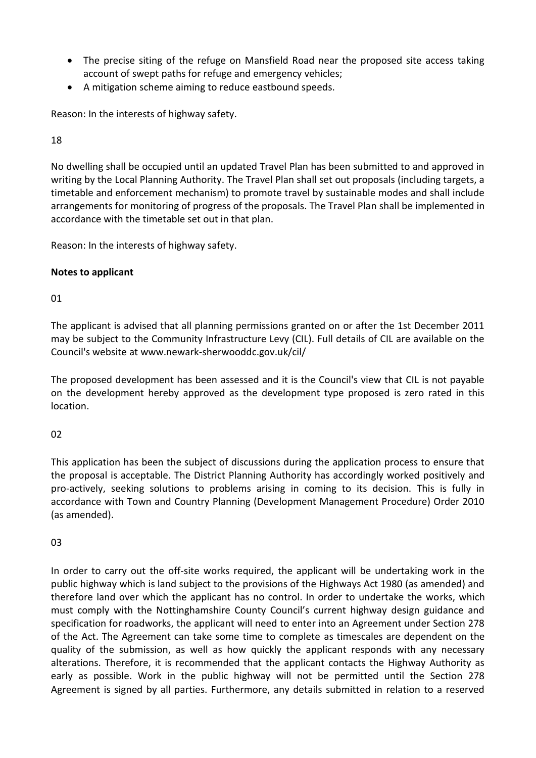- The precise siting of the refuge on Mansfield Road near the proposed site access taking account of swept paths for refuge and emergency vehicles;
- A mitigation scheme aiming to reduce eastbound speeds.

Reason: In the interests of highway safety.

# 18

No dwelling shall be occupied until an updated Travel Plan has been submitted to and approved in writing by the Local Planning Authority. The Travel Plan shall set out proposals (including targets, a timetable and enforcement mechanism) to promote travel by sustainable modes and shall include arrangements for monitoring of progress of the proposals. The Travel Plan shall be implemented in accordance with the timetable set out in that plan.

Reason: In the interests of highway safety.

# **Notes to applicant**

# 01

The applicant is advised that all planning permissions granted on or after the 1st December 2011 may be subject to the Community Infrastructure Levy (CIL). Full details of CIL are available on the Council's website at www.newark-sherwooddc.gov.uk/cil/

The proposed development has been assessed and it is the Council's view that CIL is not payable on the development hereby approved as the development type proposed is zero rated in this location.

# 02

This application has been the subject of discussions during the application process to ensure that the proposal is acceptable. The District Planning Authority has accordingly worked positively and pro-actively, seeking solutions to problems arising in coming to its decision. This is fully in accordance with Town and Country Planning (Development Management Procedure) Order 2010 (as amended).

## 03

In order to carry out the off-site works required, the applicant will be undertaking work in the public highway which is land subject to the provisions of the Highways Act 1980 (as amended) and therefore land over which the applicant has no control. In order to undertake the works, which must comply with the Nottinghamshire County Council's current highway design guidance and specification for roadworks, the applicant will need to enter into an Agreement under Section 278 of the Act. The Agreement can take some time to complete as timescales are dependent on the quality of the submission, as well as how quickly the applicant responds with any necessary alterations. Therefore, it is recommended that the applicant contacts the Highway Authority as early as possible. Work in the public highway will not be permitted until the Section 278 Agreement is signed by all parties. Furthermore, any details submitted in relation to a reserved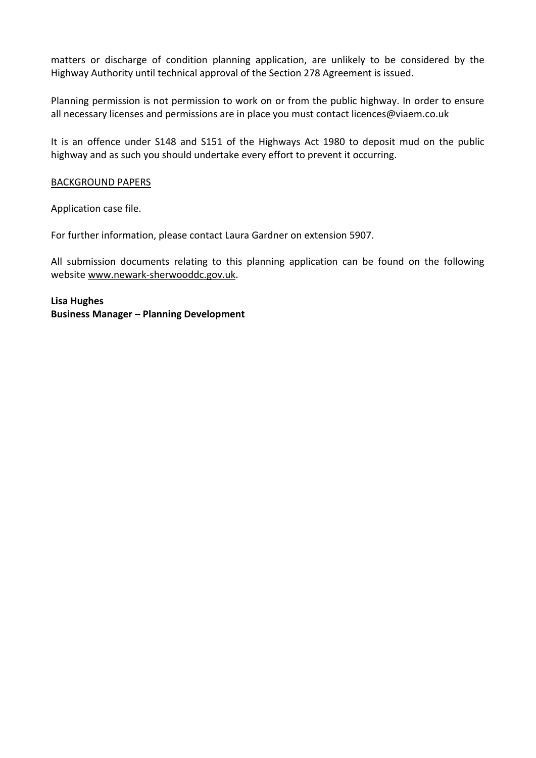matters or discharge of condition planning application, are unlikely to be considered by the Highway Authority until technical approval of the Section 278 Agreement is issued.

Planning permission is not permission to work on or from the public highway. In order to ensure all necessary licenses and permissions are in place you must contact licences@viaem.co.uk

It is an offence under S148 and S151 of the Highways Act 1980 to deposit mud on the public highway and as such you should undertake every effort to prevent it occurring.

#### BACKGROUND PAPERS

Application case file.

For further information, please contact Laura Gardner on extension 5907.

All submission documents relating to this planning application can be found on the following websit[e www.newark-sherwooddc.gov.uk.](http://www.newark-sherwooddc.gov.uk/)

**Lisa Hughes Business Manager – Planning Development**